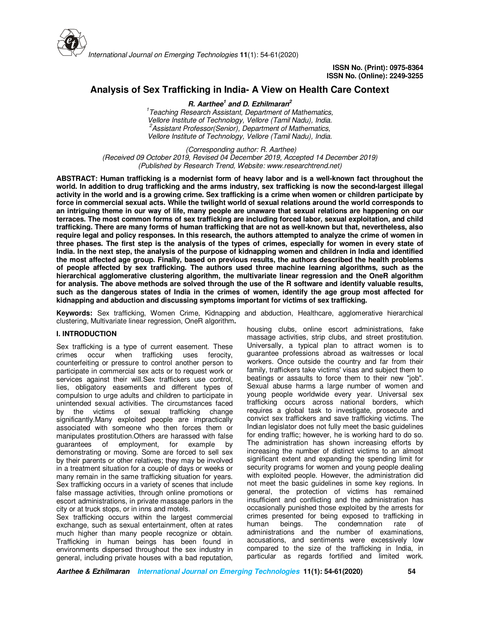

# **Analysis of Sex Trafficking in India- A View on Health Care Context**

**R. Aarthee<sup>1</sup> and D. Ezhilmaran<sup>2</sup>** *1 Teaching Research Assistant, Department of Mathematics, Vellore Institute of Technology, Vellore (Tamil Nadu), India. <sup>2</sup>Assistant Professor(Senior), Department of Mathematics, Vellore Institute of Technology, Vellore (Tamil Nadu), India.* 

 *(Corresponding author: R. Aarthee) (Received 09 October 2019, Revised 04 December 2019, Accepted 14 December 2019) (Published by Research Trend, Website: www.researchtrend.net)* 

**ABSTRACT: Human trafficking is a modernist form of heavy labor and is a well-known fact throughout the world. In addition to drug trafficking and the arms industry, sex trafficking is now the second-largest illegal activity in the world and is a growing crime. Sex trafficking is a crime when women or children participate by force in commercial sexual acts. While the twilight world of sexual relations around the world corresponds to an intriguing theme in our way of life, many people are unaware that sexual relations are happening on our terraces. The most common forms of sex trafficking are including forced labor, sexual exploitation, and child trafficking. There are many forms of human trafficking that are not as well-known but that, nevertheless, also require legal and policy responses. In this research, the authors attempted to analyze the crime of women in three phases. The first step is the analysis of the types of crimes, especially for women in every state of India. In the next step, the analysis of the purpose of kidnapping women and children in India and identified the most affected age group. Finally, based on previous results, the authors described the health problems of people affected by sex trafficking. The authors used three machine learning algorithms, such as the hierarchical agglomerative clustering algorithm, the multivariate linear regression and the OneR algorithm for analysis. The above methods are solved through the use of the R software and identify valuable results, such as the dangerous states of India in the crimes of women, identify the age group most affected for kidnapping and abduction and discussing symptoms important for victims of sex trafficking.**

**Keywords:** Sex trafficking, Women Crime, Kidnapping and abduction, Healthcare, agglomerative hierarchical clustering, Multivariate linear regression, OneR algorithm**.**

#### **I. INTRODUCTION**

Sex trafficking is a type of current easement. These crimes occur when trafficking uses ferocity, counterfeiting or pressure to control another person to participate in commercial sex acts or to request work or services against their will. Sex traffickers use control, lies, obligatory easements and different types of compulsion to urge adults and children to participate in unintended sexual activities. The circumstances faced by the victims of sexual trafficking change significantly.Many exploited people are impractically associated with someone who then forces them or manipulates prostitution.Others are harassed with false guarantees of employment, for example by demonstrating or moving. Some are forced to sell sex by their parents or other relatives; they may be involved in a treatment situation for a couple of days or weeks or many remain in the same trafficking situation for years. Sex trafficking occurs in a variety of scenes that include false massage activities, through online promotions or escort administrations, in private massage parlors in the city or at truck stops, or in inns and motels.

Sex trafficking occurs within the largest commercial exchange, such as sexual entertainment, often at rates much higher than many people recognize or obtain. Trafficking in human beings has been found in environments dispersed throughout the sex industry in general, including private houses with a bad reputation,

housing clubs, online escort administrations, fake massage activities, strip clubs, and street prostitution. Universally, a typical plan to attract women is to guarantee professions abroad as waitresses or local workers. Once outside the country and far from their family, traffickers take victims' visas and subject them to beatings or assaults to force them to their new "job". Sexual abuse harms a large number of women and young people worldwide every year. Universal sex trafficking occurs across national borders, which requires a global task to investigate, prosecute and convict sex traffickers and save trafficking victims. The Indian legislator does not fully meet the basic guidelines for ending traffic; however, he is working hard to do so. The administration has shown increasing efforts by increasing the number of distinct victims to an almost significant extent and expanding the spending limit for security programs for women and young people dealing with exploited people. However, the administration did not meet the basic guidelines in some key regions. In general, the protection of victims has remained insufficient and conflicting and the administration has occasionally punished those exploited by the arrests for crimes presented for being exposed to trafficking in human beings. The condemnation rate of administrations and the number of examinations, accusations, and sentiments were excessively low compared to the size of the trafficking in India, in particular as regards fortified and limited work.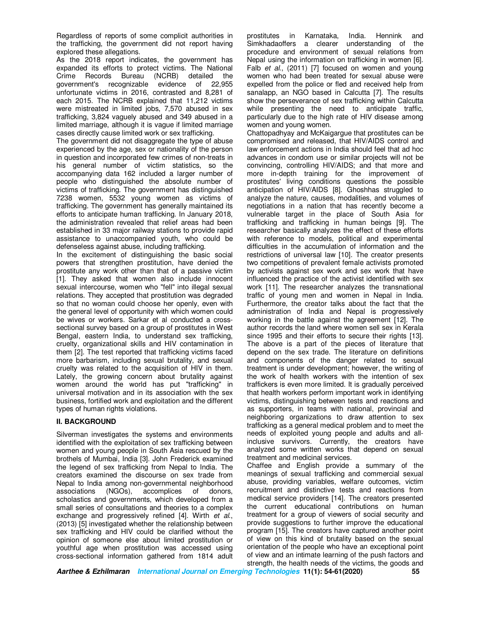Regardless of reports of some complicit authorities in the trafficking, the government did not report having explored these allegations.

As the 2018 report indicates, the government has expanded its efforts to protect victims. The National Crime Records Bureau (NCRB) detailed the government's recognizable evidence of 22,955 unfortunate victims in 2016, contrasted and 8,281 of each 2015. The NCRB explained that 11,212 victims were mistreated in limited jobs, 7,570 abused in sex trafficking, 3,824 vaguely abused and 349 abused in a limited marriage, although it is vague if limited marriage cases directly cause limited work or sex trafficking.

The government did not disaggregate the type of abuse experienced by the age, sex or nationality of the person in question and incorporated few crimes of non-treats in his general number of victim statistics, so the accompanying data 162 included a larger number of people who distinguished the absolute number of victims of trafficking. The government has distinguished 7238 women, 5532 young women as victims of trafficking. The government has generally maintained its efforts to anticipate human trafficking. In January 2018, the administration revealed that relief areas had been established in 33 major railway stations to provide rapid assistance to unaccompanied youth, who could be defenseless against abuse, including trafficking.

In the excitement of distinguishing the basic social powers that strengthen prostitution, have denied the prostitute any work other than that of a passive victim [1]. They asked that women also include innocent sexual intercourse, women who "fell" into illegal sexual relations. They accepted that prostitution was degraded so that no woman could choose her openly, even with the general level of opportunity with which women could be wives or workers. Sarkar et al conducted a crosssectional survey based on a group of prostitutes in West Bengal, eastern India, to understand sex trafficking, cruelty, organizational skills and HIV contamination in them [2]. The test reported that trafficking victims faced more barbarism, including sexual brutality, and sexual cruelty was related to the acquisition of HIV in them. Lately, the growing concern about brutality against women around the world has put "trafficking" in universal motivation and in its association with the sex business, fortified work and exploitation and the different types of human rights violations.

# **II. BACKGROUND**

Silverman investigates the systems and environments identified with the exploitation of sex trafficking between women and young people in South Asia rescued by the brothels of Mumbai, India [3]. John Frederick examined the legend of sex trafficking from Nepal to India. The creators examined the discourse on sex trade from Nepal to India among non-governmental neighborhood associations (NGOs), accomplices of donors, scholastics and governments, which developed from a small series of consultations and theories to a complex exchange and progressively refined [4]. Wirth *et al.*, (2013) [5] investigated whether the relationship between sex trafficking and HIV could be clarified without the opinion of someone else about limited prostitution or youthful age when prostitution was accessed using cross-sectional information gathered from 1814 adult

prostitutes in Karnataka, India. Hennink and Simkhadaoffers a clearer understanding of the procedure and environment of sexual relations from Nepal using the information on trafficking in women [6]. Falb *et al*., (2011) [7] focused on women and young women who had been treated for sexual abuse were expelled from the police or fled and received help from sanalapp, an NGO based in Calcutta [7]. The results show the perseverance of sex trafficking within Calcutta while presenting the need to anticipate traffic, particularly due to the high rate of HIV disease among women and young women.

Chattopadhyay and McKaigargue that prostitutes can be compromised and released, that HIV/AIDS control and law enforcement actions in India should feel that ad hoc advances in condom use or similar projects will not be convincing, controlling HIV/AIDS; and that more and more in-depth training for the improvement of prostitutes' living conditions questions the possible anticipation of HIV/AIDS [8]. Ghoshhas struggled to analyze the nature, causes, modalities, and volumes of negotiations in a nation that has recently become a vulnerable target in the place of South Asia for trafficking and trafficking in human beings [9]. The researcher basically analyzes the effect of these efforts with reference to models, political and experimental difficulties in the accumulation of information and the restrictions of universal law [10]. The creator presents two competitions of prevalent female activists promoted by activists against sex work and sex work that have influenced the practice of the activist identified with sex work [11]. The researcher analyzes the transnational traffic of young men and women in Nepal in India. Furthermore, the creator talks about the fact that the administration of India and Nepal is progressively working in the battle against the agreement [12]. The author records the land where women sell sex in Kerala since 1995 and their efforts to secure their rights [13]. The above is a part of the pieces of literature that depend on the sex trade. The literature on definitions and components of the danger related to sexual treatment is under development; however, the writing of the work of health workers with the intention of sex traffickers is even more limited. It is gradually perceived that health workers perform important work in identifying victims, distinguishing between tests and reactions and as supporters, in teams with national, provincial and neighboring organizations to draw attention to sex trafficking as a general medical problem and to meet the needs of exploited young people and adults and allinclusive survivors. Currently, the creators have analyzed some written works that depend on sexual treatment and medicinal services.

Chaffee and English provide a summary of the meanings of sexual trafficking and commercial sexual abuse, providing variables, welfare outcomes, victim recruitment and distinctive tests and reactions from medical service providers [14]. The creators presented the current educational contributions on human treatment for a group of viewers of social security and provide suggestions to further improve the educational program [15]. The creators have captured another point of view on this kind of brutality based on the sexual orientation of the people who have an exceptional point of view and an intimate learning of the push factors and strength, the health needs of the victims, the goods and

**Aarthee & Ezhilmaran International Journal on Emerging Technologies 11(1): 54-61(2020) 55**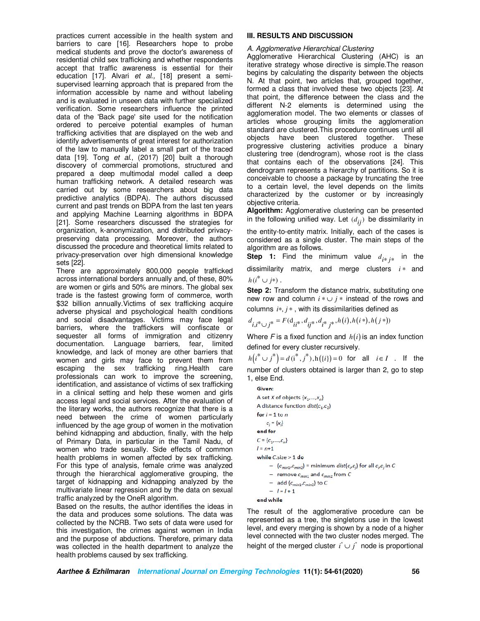practices current accessible in the health system and barriers to care [16]. Researchers hope to probe medical students and prove the doctor's awareness of residential child sex trafficking and whether respondents accept that traffic awareness is essential for their education [17]. Alvari *et al.,* [18] present a semisupervised learning approach that is prepared from the information accessible by name and without labeling and is evaluated in unseen data with further specialized verification. Some researchers influence the printed data of the 'Back page' site used for the notification ordered to perceive potential examples of human trafficking activities that are displayed on the web and identify advertisements of great interest for authorization of the law to manually label a small part of the traced data [19]. Tong *et al*., (2017) [20] built a thorough discovery of commercial promotions, structured and prepared a deep multimodal model called a deep human trafficking network. A detailed research was carried out by some researchers about big data predictive analytics (BDPA). The authors discussed current and past trends on BDPA from the last ten years and applying Machine Learning algorithms in BDPA [21]. Some researchers discussed the strategies for organization, k-anonymization, and distributed privacypreserving data processing. Moreover, the authors discussed the procedure and theoretical limits related to privacy-preservation over high dimensional knowledge sets [22].

There are approximately 800,000 people trafficked across international borders annually and, of these, 80% are women or girls and 50% are minors. The global sex trade is the fastest growing form of commerce, worth \$32 billion annually.Victims of sex trafficking acquire adverse physical and psychological health conditions and social disadvantages. Victims may face legal barriers, where the traffickers will confiscate or sequester all forms of immigration and citizenry documentation. Language barriers, fear, limited knowledge, and lack of money are other barriers that women and girls may face to prevent them from escaping the sex trafficking ring.Health care professionals can work to improve the screening, identification, and assistance of victims of sex trafficking in a clinical setting and help these women and girls access legal and social services. After the evaluation of the literary works, the authors recognize that there is a need between the crime of women particularly influenced by the age group of women in the motivation behind kidnapping and abduction, finally, with the help of Primary Data, in particular in the Tamil Nadu, of women who trade sexually. Side effects of common health problems in women affected by sex trafficking. For this type of analysis, female crime was analyzed through the hierarchical agglomerative grouping, the target of kidnapping and kidnapping analyzed by the multivariate linear regression and by the data on sexual traffic analyzed by the OneR algorithm.

Based on the results, the author identifies the ideas in the data and produces some solutions. The data was collected by the NCRB. Two sets of data were used for this investigation, the crimes against women in India and the purpose of abductions. Therefore, primary data was collected in the health department to analyze the health problems caused by sex trafficking.

#### **III. RESULTS AND DISCUSSION**

#### *A. Agglomerative Hierarchical Clustering*

Agglomerative Hierarchical Clustering (AHC) is an iterative strategy whose directive is simple.The reason begins by calculating the disparity between the objects N. At that point, two articles that, grouped together, formed a class that involved these two objects [23]. At that point, the difference between the class and the different N-2 elements is determined using the agglomeration model. The two elements or classes of articles whose grouping limits the agglomeration standard are clustered.This procedure continues until all objects have been clustered together. These progressive clustering activities produce a binary clustering tree (dendrogram), whose root is the class that contains each of the observations [24]. This dendrogram represents a hierarchy of partitions. So it is conceivable to choose a package by truncating the tree to a certain level, the level depends on the limits characterized by the customer or by increasingly objective criteria.

**Algorithm:** Agglomerative clustering can be presented in the following unified way. Let  $(d_{ij})$  be dissimilarity in

the entity-to-entity matrix. Initially, each of the cases is considered as a single cluster. The main steps of the algorithm are as follows.

**Step 1:** Find the minimum value  $d_{i^*j^*}$  in the dissimilarity matrix, and merge clusters *i* ∗ and

 $h(i^* \cup j^*)$ .

**Step 2:** Transform the distance matrix, substituting one new row and column  $i * \cup j *$  instead of the rows and columns *i\*, j\**, with its dissimilarities defined as

$$
d_{i,i^* \cup j^*} = F(\mathbf{d}_{ii^*}, d_{ij^*}, d_{i^*j^*}, h(i), h(i^*), h(j^*))
$$

Where  $F$  is a fixed function and  $h(i)$  is an index function defined for every cluster recursively.

 $h(i^* \cup j^*) = d(i^*, j^*), h({i}) = 0$  for all  $i \in I$ . If the number of clusters obtained is larger than 2, go to step 1, else End.

```
Given:
A set X of objects \{x_1,...,x_n\}A distance function dist(c_1, c_2)for i = 1 to n
    c_i = \{x_i\}end for
C=\{c_1,\ldots,c_n\}l = n + 1while C.\textsf{size} > 1 do
      - (c_{min1}, c_{min2}) = minimum dist(c_i, c_j) for all c_i, c_j in C
      - remove c_{min1} and c_{min2} from C
     - add \{c_{min1}, c_{min2}\} to C
      - l = l + 1end while
```
The result of the agglomerative procedure can be represented as a tree, the singletons use in the lowest level, and every merging is shown by a node of a higher level connected with the two cluster nodes merged. The height of the merged cluster  $i^* \cup j^*$  node is proportional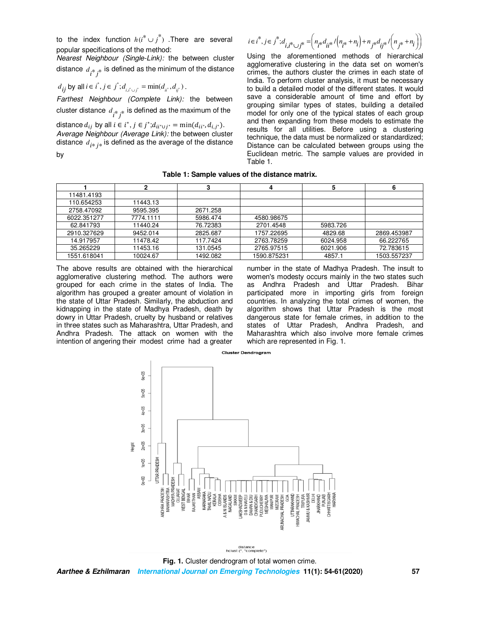to the index function  $h(i^* \cup j^*)$  .There are several popular specifications of the method:

*Nearest Neighbour (Single-Link):* the between cluster distance  $\,d_{\,\imath^*\,j^*}$  is defined as the minimum of the distance

$$
d_{ij}
$$
 by all  $i \in i^*, j \in j^*; d_{i,i^* \cup j^*} = \min(d_{ii^*}, d_{ij^*})$ .

*Farthest Neighbour (Complete Link):* the between cluster distance  $d_{\left\lfloor \frac{k}{l} \right\rfloor}$  is defined as the maximum of the

distance  $d_{ij}$  by all  $i \in i^*$ ,  $j \in j^*$ ; $d_{ii^* \cup j^*} = \min(d_{ii^*}, d_{i,j^*})$ . *Average Neighbour (Average Link):* the between cluster distance  $d_{i^*j^*}$  is defined as the average of the distance

by

 $i \in i^*, j \in j^*; d_{i, i^* \cup j^*} = \left( n_{i^*} d_{i i^*} / (n_{i^*} + n_i) + n_{j^*} d_{i j^*} / (n_{j^*} + n_i) \right)$ 

Using the aforementioned methods of hierarchical agglomerative clustering in the data set on women's crimes, the authors cluster the crimes in each state of India. To perform cluster analysis, it must be necessary to build a detailed model of the different states. It would save a considerable amount of time and effort by grouping similar types of states, building a detailed model for only one of the typical states of each group and then expanding from these models to estimate the results for all utilities. Before using a clustering technique, the data must be normalized or standardized; Distance can be calculated between groups using the Euclidean metric. The sample values are provided in Table 1.

#### **Table 1: Sample values of the distance matrix.**

| 11481.4193  |           |          |             |          |             |
|-------------|-----------|----------|-------------|----------|-------------|
| 110.654253  | 11443.13  |          |             |          |             |
| 2758.47092  | 9595.395  | 2671.258 |             |          |             |
| 6022.351277 | 7774.1111 | 5986.474 | 4580.98675  |          |             |
| 62.841793   | 11440.24  | 76.72383 | 2701.4548   | 5983.726 |             |
| 2910.327629 | 9452.014  | 2825.687 | 1757.22695  | 4829.68  | 2869.453987 |
| 14.917957   | 11478.42  | 117.7424 | 2763.78259  | 6024.958 | 66.222765   |
| 35.265229   | 11453.16  | 131.0545 | 2765.97515  | 6021.906 | 72.783615   |
| 1551.618041 | 10024.67  | 1492.082 | 1590.875231 | 4857.1   | 1503.557237 |

The above results are obtained with the hierarchical agglomerative clustering method. The authors were grouped for each crime in the states of India. The algorithm has grouped a greater amount of violation in the state of Uttar Pradesh. Similarly, the abduction and kidnapping in the state of Madhya Pradesh, death by dowry in Uttar Pradesh, cruelty by husband or relatives in three states such as Maharashtra, Uttar Pradesh, and Andhra Pradesh. The attack on women with the intention of angering their modest crime had a greater

number in the state of Madhya Pradesh. The insult to women's modesty occurs mainly in the two states such as Andhra Pradesh and Uttar Pradesh. Bihar participated more in importing girls from foreign countries. In analyzing the total crimes of women, the algorithm shows that Uttar Pradesh is the most dangerous state for female crimes, in addition to the states of Uttar Pradesh, Andhra Pradesh, and Maharashtra which also involve more female crimes which are represented in Fig. 1.



**Aarthee & Ezhilmaran International Journal on Emerging Technologies 11(1): 54-61(2020) 57 Fig. 1.** Cluster dendrogram of total women crime.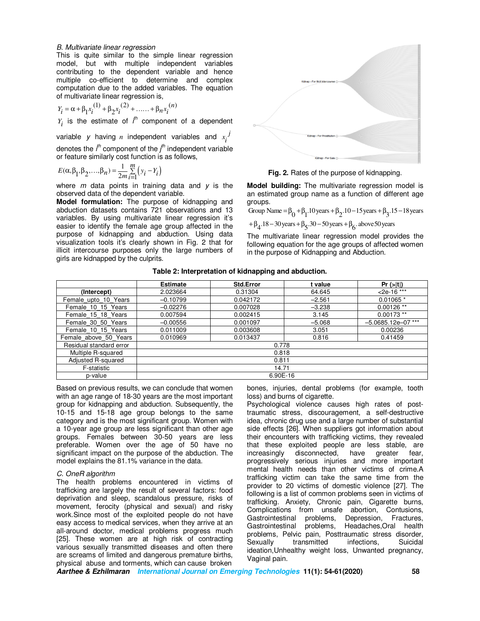#### *B. Multivariate linear regression*

This is quite similar to the simple linear regression model, but with multiple independent variables contributing to the dependent variable and hence multiple co-efficient to determine and complex computation due to the added variables. The equation of multivariate linear regression is,

$$
Y_i = \alpha + \beta_1 x_i^{(1)} + \beta_2 x_i^{(2)} + \dots + \beta_n x_i^{(n)}
$$

 $Y_i$  is the estimate of  $i^h$  component of a dependent

variable y having *n* independent variables and  $x_i^j$ denotes the *i th* component of the *j th* independent variable or feature similarly cost function is as follows,

$$
E(\alpha, \beta_1, \beta_2, ..., \beta_n) = \frac{1}{2m} \sum_{i=1}^{m} (y_i - Y_i)
$$

where *m* data points in training data and *y* is the observed data of the dependent variable.

**Model formulation:** The purpose of kidnapping and abduction datasets contains 721 observations and 13 variables. By using multivariate linear regression it's easier to identify the female age group affected in the purpose of kidnapping and abduction. Using data visualization tools it's clearly shown in Fig. 2 that for illicit intercourse purposes only the large numbers of girls are kidnapped by the culprits.



**Fig. 2.** Rates of the purpose of kidnapping.

**Model building:** The multivariate regression model is an estimated group name as a function of different age groups.

Group Name =  $\beta_0 + \beta_1$ .10 years  $+\beta_2$ .10 – 15 years  $+\beta_3$ .15 – 18 years

 $+\beta_4$ .18 – 30 years  $+\beta_5$ .30 – 50 years  $+\beta_6$ . above 50 years

The multivariate linear regression model provides the following equation for the age groups of affected women in the purpose of Kidnapping and Abduction.

|  |  |  | Table 2: Interpretation of kidnapping and abduction. |
|--|--|--|------------------------------------------------------|
|--|--|--|------------------------------------------------------|

|                         | <b>Estimate</b> | <b>Std.Error</b> | t value  | $Pr (>=  t )$        |  |
|-------------------------|-----------------|------------------|----------|----------------------|--|
| (Intercept)             | 2.023664        | 0.31304          | 64.645   | $<$ 2e-16 ***        |  |
| Female_upto_10_Years    | $-0.10799$      | 0.042172         | $-2.561$ | $0.01065*$           |  |
| Female 10 15 Years      | $-0.02276$      | 0.007028         | $-3.238$ | $0.00126$ **         |  |
| Female 15 18 Years      | 0.007594        | 0.002415         | 3.145    | $0.00173$ **         |  |
| Female 30 50 Years      | $-0.00556$      | 0.001097         | $-5.068$ | $-5.0685.12e-07$ *** |  |
| Female 10 15 Years      | 0.011009        | 0.003608         | 3.051    | 0.00236              |  |
| Female above 50 Years   | 0.010969        | 0.013437         | 0.816    | 0.41459              |  |
| Residual standard error | 0.778           |                  |          |                      |  |
| Multiple R-squared      | 0.818           |                  |          |                      |  |
| Adjusted R-squared      | 0.811           |                  |          |                      |  |
| F-statistic             | 14.71           |                  |          |                      |  |
| 6.90E-16<br>p-value     |                 |                  |          |                      |  |

Based on previous results, we can conclude that women with an age range of 18-30 years are the most important group for kidnapping and abduction. Subsequently, the 10-15 and 15-18 age group belongs to the same category and is the most significant group. Women with a 10-year age group are less significant than other age groups. Females between 30-50 years are less preferable. Women over the age of 50 have no significant impact on the purpose of the abduction. The model explains the 81.1% variance in the data.

#### *C. OneR algorithm*

The health problems encountered in victims of trafficking are largely the result of several factors: food deprivation and sleep, scandalous pressure, risks of movement, ferocity (physical and sexual) and risky work.Since most of the exploited people do not have easy access to medical services, when they arrive at an all-around doctor, medical problems progress much [25]. These women are at high risk of contracting various sexually transmitted diseases and often there are screams of limited and dangerous premature births, physical abuse and torments, which can cause broken

bones, injuries, dental problems (for example, tooth loss) and burns of cigarette.

Psychological violence causes high rates of posttraumatic stress, discouragement, a self-destructive idea, chronic drug use and a large number of substantial side effects [26]. When suppliers got information about their encounters with trafficking victims, they revealed that these exploited people are less stable, are increasingly disconnected, have greater fear, progressively serious injuries and more important mental health needs than other victims of crime.A trafficking victim can take the same time from the provider to 20 victims of domestic violence [27]. The following is a list of common problems seen in victims of trafficking. Anxiety, Chronic pain, Cigarette burns, Complications from unsafe abortion, Contusions,<br>Gastrointestinal problems, Depression, Fractures, problems, Depression, Fractures, Gastrointestinal problems, Headaches,Oral health problems, Pelvic pain, Posttraumatic stress disorder, Sexually transmitted infections, Suicidal ideation,Unhealthy weight loss, Unwanted pregnancy, Vaginal pain.

**Aarthee & Ezhilmaran International Journal on Emerging Technologies 11(1): 54-61(2020) 58**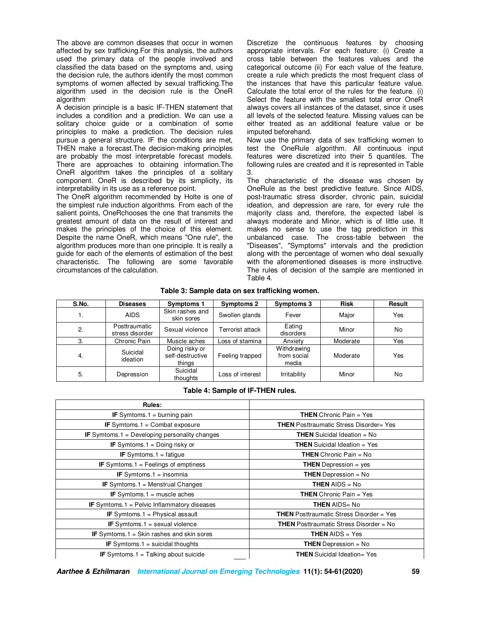The above are common diseases that occur in women affected by sex trafficking.For this analysis, the authors used the primary data of the people involved and classified the data based on the symptoms and, using the decision rule, the authors identify the most common symptoms of women affected by sexual trafficking.The algorithm used in the decision rule is the OneR algorithm

A decision principle is a basic IF-THEN statement that includes a condition and a prediction. We can use a solitary choice guide or a combination of some principles to make a prediction. The decision rules pursue a general structure. IF the conditions are met, THEN make a forecast.The decision-making principles are probably the most interpretable forecast models. There are approaches to obtaining information.The OneR algorithm takes the principles of a solitary component. OneR is described by its simplicity, its interpretability in its use as a reference point.

The OneR algorithm recommended by Holte is one of the simplest rule induction algorithms. From each of the salient points, OneRchooses the one that transmits the greatest amount of data on the result of interest and makes the principles of the choice of this element. Despite the name OneR, which means "One rule", the algorithm produces more than one principle. It is really a guide for each of the elements of estimation of the best characteristic. The following are some favorable circumstances of the calculation.

Discretize the continuous features by choosing appropriate intervals. For each feature: (i) Create a cross table between the features values and the categorical outcome (ii) For each value of the feature, create a rule which predicts the most frequent class of the instances that have this particular feature value. Calculate the total error of the rules for the feature. (i) Select the feature with the smallest total error OneR always covers all instances of the dataset, since it uses all levels of the selected feature. Missing values can be either treated as an additional feature value or be imputed beforehand.

Now use the primary data of sex trafficking women to test the OneRule algorithm. All continuous input features were discretized into their 5 quantiles. The following rules are created and it is represented in Table 3.

The characteristic of the disease was chosen by OneRule as the best predictive feature. Since AIDS, post-traumatic stress disorder, chronic pain, suicidal ideation, and depression are rare, for every rule the majority class and, therefore, the expected label is always moderate and Minor, which is of little use. It makes no sense to use the tag prediction in this unbalanced case. The cross-table between the "Diseases", "Symptoms" intervals and the prediction along with the percentage of women who deal sexually with the aforementioned diseases is more instructive. The rules of decision of the sample are mentioned in Table 4.

#### **Table 3: Sample data on sex trafficking women.**

| S.No. | <b>Diseases</b>                  | <b>Symptoms 1</b>                            | <b>Symptoms 2</b> | <b>Symptoms 3</b>                   | <b>Risk</b> | Result |
|-------|----------------------------------|----------------------------------------------|-------------------|-------------------------------------|-------------|--------|
| 1.    | <b>AIDS</b>                      | Skin rashes and<br>skin sores                | Swollen glands    | Fever                               | Major       | Yes    |
| 2.    | Posttraumatic<br>stress disorder | Sexual violence                              | Terrorist attack  | Eating<br>disorders                 | Minor       | No     |
| 3.    | Chronic Pain                     | Muscle aches                                 | Loss of stamina   | Anxiety                             | Moderate    | Yes    |
| 4.    | Suicidal<br>ideation             | Doing risky or<br>self-destructive<br>things | Feeling trapped   | Withdrawing<br>from social<br>media | Moderate    | Yes    |
| 5.    | Depression                       | Suicidal<br>thoughts                         | Loss of interest  | Irritability                        | Minor       | No     |

#### **Table 4: Sample of IF-THEN rules.**

| Rules:                                               |                                                   |  |
|------------------------------------------------------|---------------------------------------------------|--|
| <b>IF</b> Symtoms.1 = burning pain                   | <b>THEN</b> Chronic Pain = Yes                    |  |
| <b>IF</b> Symtoms.1 = Combat exposure                | <b>THEN</b> Posttraumatic Stress Disorder= Yes    |  |
| <b>IF</b> Symtoms.1 = Developing personality changes | <b>THEN</b> Suicidal Ideation $=$ No              |  |
| <b>IF</b> Symtoms $1 =$ Doing risky or               | <b>THEN</b> Suicidal Ideation $=$ Yes             |  |
| <b>IF</b> Symtoms. $1 =$ fatigue                     | <b>THEN</b> Chronic Pain = $No$                   |  |
| <b>IF</b> Symtoms.1 = Feelings of emptiness          | <b>THEN</b> Depression = $yes$                    |  |
| <b>IF</b> Symtoms.1 = insomnia                       | <b>THEN</b> Depression = No                       |  |
| <b>IF</b> Symtoms.1 = Menstrual Changes              | <b>THEN</b> AIDS = $No$                           |  |
| <b>IF</b> Symtoms.1 = muscle aches                   | <b>THEN</b> Chronic Pain $=$ Yes                  |  |
| <b>IF</b> Symtoms.1 = Pelvic Inflammatory diseases   | <b>THEN AIDS= No</b>                              |  |
| <b>IF</b> Symtoms.1 = Physical assault               | <b>THEN</b> Posttraumatic Stress Disorder $=$ Yes |  |
| <b>IF</b> Symtoms.1 = sexual violence                | <b>THEN</b> Posttraumatic Stress Disorder = No    |  |
| <b>IF</b> Symtoms.1 = Skin rashes and skin sores     | <b>THEN</b> AIDS $=$ Yes                          |  |
| <b>IF</b> Symtoms.1 = suicidal thoughts              | <b>THEN</b> Depression = $No$                     |  |
| IF Symtoms.1 = Talking about suicide                 | <b>THEN</b> Suicidal Ideation= Yes                |  |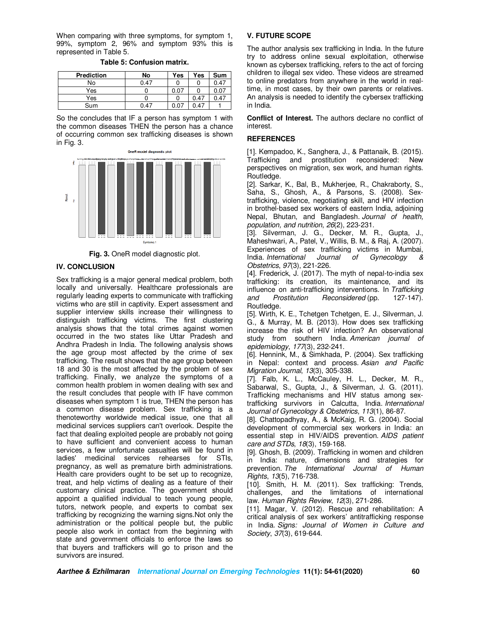When comparing with three symptoms, for symptom 1, 99%, symptom 2, 96% and symptom 93% this is represented in Table 5.

**Table 5: Confusion matrix.** 

| <b>Prediction</b> | No   | <b>Yes</b> | Yes  | Sum  |
|-------------------|------|------------|------|------|
| No                | 0.47 |            |      | 0.47 |
| Yes               |      | 0.07       |      | 0.07 |
| Yes               |      |            | 0.47 | 0.47 |
| Sum               | 0.47 |            | .4   |      |

So the concludes that IF a person has symptom 1 with the common diseases THEN the person has a chance of occurring common sex trafficking diseases is shown in Fig. 3.



**Fig. 3.** OneR model diagnostic plot.

### **IV. CONCLUSION**

Sex trafficking is a major general medical problem, both locally and universally. Healthcare professionals are regularly leading experts to communicate with trafficking victims who are still in captivity. Expert assessment and supplier interview skills increase their willingness to distinguish trafficking victims. The first clustering analysis shows that the total crimes against women occurred in the two states like Uttar Pradesh and Andhra Pradesh in India. The following analysis shows the age group most affected by the crime of sex trafficking. The result shows that the age group between 18 and 30 is the most affected by the problem of sex trafficking. Finally, we analyze the symptoms of a common health problem in women dealing with sex and the result concludes that people with IF have common diseases when symptom 1 is true, THEN the person has a common disease problem. Sex trafficking is a thenoteworthy worldwide medical issue, one that all medicinal services suppliers can't overlook. Despite the fact that dealing exploited people are probably not going to have sufficient and convenient access to human services, a few unfortunate casualties will be found in ladies' medicinal services rehearses for STIs, pregnancy, as well as premature birth administrations. Health care providers ought to be set up to recognize, treat, and help victims of dealing as a feature of their customary clinical practice. The government should appoint a qualified individual to teach young people, tutors, network people, and experts to combat sex trafficking by recognizing the warning signs.Not only the administration or the political people but, the public people also work in contact from the beginning with state and government officials to enforce the laws so that buyers and traffickers will go to prison and the survivors are insured.

# **V. FUTURE SCOPE**

The author analysis sex trafficking in India. In the future try to address online sexual exploitation, otherwise known as cybersex trafficking, refers to the act of forcing children to illegal sex video. These videos are streamed to online predators from anywhere in the world in realtime, in most cases, by their own parents or relatives. An analysis is needed to identify the cybersex trafficking in India.

**Conflict of Interest.** The authors declare no conflict of interest.

### **REFERENCES**

[1]. Kempadoo, K., Sanghera, J., & Pattanaik, B. (2015). Trafficking and prostitution reconsidered: New perspectives on migration, sex work, and human rights. Routledge.

[2]. Sarkar, K., Bal, B., Mukherjee, R., Chakraborty, S., Saha, S., Ghosh, A., & Parsons, S. (2008). Sextrafficking, violence, negotiating skill, and HIV infection in brothel-based sex workers of eastern India, adjoining Nepal, Bhutan, and Bangladesh. *Journal of health, population, and nutrition*, *26*(2), 223-231.

[3]. Silverman, J. G., Decker, M. R., Gupta, J., Maheshwari, A., Patel, V., Willis, B. M., & Raj, A. (2007). Experiences of sex trafficking victims in Mumbai, India. *International Journal of Gynecology & Obstetrics*, *97*(3), 221-226.

[4]. Frederick, J. (2017). The myth of nepal-to-india sex trafficking: its creation, its maintenance, and its influence on anti-trafficking interventions. In *Trafficking and Prostitution Reconsidered* (pp. 127-147). Routledge.

[5]. Wirth, K. E., Tchetgen Tchetgen, E. J., Silverman, J. G., & Murray, M. B. (2013). How does sex trafficking increase the risk of HIV infection? An observational study from southern India. *American journal of epidemiology*, *177*(3), 232-241.

[6]. Hennink, M., & Simkhada, P. (2004). Sex trafficking in Nepal: context and process. *Asian and Pacific Migration Journal*, *13*(3), 305-338.

[7]. Falb, K. L., McCauley, H. L., Decker, M. R., Sabarwal, S., Gupta, J., & Silverman, J. G. (2011). Trafficking mechanisms and HIV status among sextrafficking survivors in Calcutta, India. *International Journal of Gynecology & Obstetrics*, *113*(1), 86-87.

[8]. Chattopadhyay, A., & McKaig, R. G. (2004). Social development of commercial sex workers in India: an essential step in HIV/AIDS prevention. *AIDS patient care and STDs*, *18*(3), 159-168.

[9]. Ghosh, B. (2009). Trafficking in women and children in India: nature, dimensions and strategies for prevention. *The International Journal of Human Rights*, *13*(5), 716-738.

[10]. Smith, H. M. (2011). Sex trafficking: Trends, challenges, and the limitations of international law. *Human Rights Review*, *12*(3), 271-286.

[11]. Magar, V. (2012). Rescue and rehabilitation: A critical analysis of sex workers' antitrafficking response in India. *Signs: Journal of Women in Culture and Society*, *37*(3), 619-644.